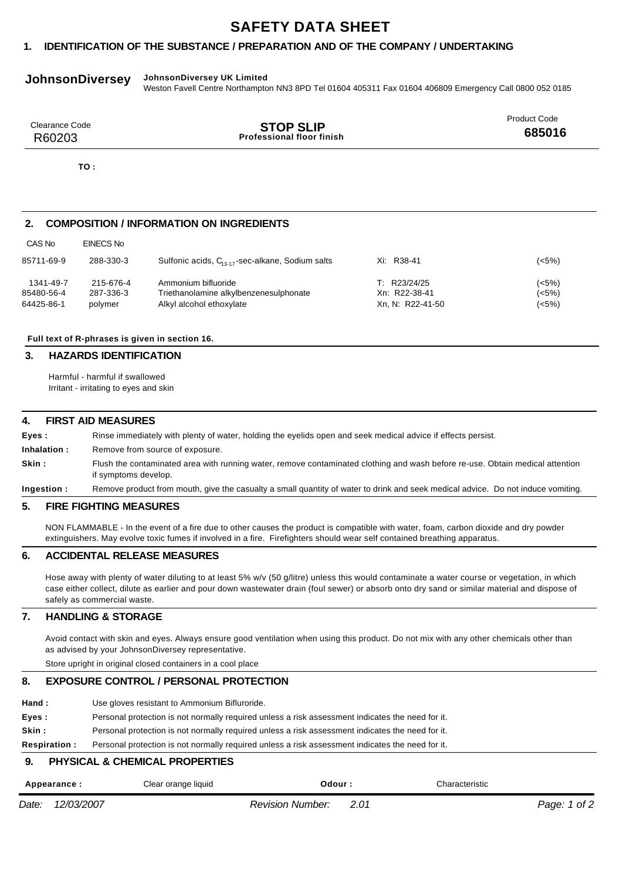# **SAFETY DATA SHEET**

# **1. IDENTIFICATION OF THE SUBSTANCE / PREPARATION AND OF THE COMPANY / UNDERTAKING**

# **JohnsonDiversey JohnsonDiversey UK Limited**

Weston Favell Centre Northampton NN3 8PD Tel 01604 405311 Fax 01604 406809 Emergency Call 0800 052 0185

| Clearance Code | <b>STOP SLIP</b>                 | <b>Product Code</b> |
|----------------|----------------------------------|---------------------|
| R60203         | <b>Professional floor finish</b> | 685016              |

**TO :**

## **2. COMPOSITION / INFORMATION ON INGREDIENTS**

| 85711-69-9 | 288-330-3 | Sulfonic acids, $C_{13,17}$ -sec-alkane, Sodium salts | Xi: R38-41       | (<5%) |
|------------|-----------|-------------------------------------------------------|------------------|-------|
| 1341-49-7  | 215-676-4 | Ammonium bifluoride                                   | T: R23/24/25     | (<5%) |
| 85480-56-4 | 287-336-3 | Triethanolamine alkylbenzenesulphonate                | Xn: R22-38-41    | (<5%) |
| 64425-86-1 | polymer   | Alkyl alcohol ethoxylate                              | Xn, N: R22-41-50 | (<5%) |

#### **Full text of R-phrases is given in section 16.**

## **3. HAZARDS IDENTIFICATION**

Harmful - harmful if swallowed Irritant - irritating to eyes and skin

#### **4. FIRST AID MEASURES**

**Eyes : Inhalation : Skin :** Rinse immediately with plenty of water, holding the eyelids open and seek medical advice if effects persist. Remove from source of exposure. Flush the contaminated area with running water, remove contaminated clothing and wash before re-use. Obtain medical attention if symptoms develop.

**Ingestion :** Remove product from mouth, give the casualty a small quantity of water to drink and seek medical advice. Do not induce vomiting.

#### **5. FIRE FIGHTING MEASURES**

NON FLAMMABLE - In the event of a fire due to other causes the product is compatible with water, foam, carbon dioxide and dry powder extinguishers. May evolve toxic fumes if involved in a fire. Firefighters should wear self contained breathing apparatus.

## **6. ACCIDENTAL RELEASE MEASURES**

Hose away with plenty of water diluting to at least 5% w/v (50 g/litre) unless this would contaminate a water course or vegetation, in which case either collect, dilute as earlier and pour down wastewater drain (foul sewer) or absorb onto dry sand or similar material and dispose of safely as commercial waste.

#### **7. HANDLING & STORAGE**

Avoid contact with skin and eyes. Always ensure good ventilation when using this product. Do not mix with any other chemicals other than as advised by your JohnsonDiversey representative.

Store upright in original closed containers in a cool place

## **8. EXPOSURE CONTROL / PERSONAL PROTECTION**

- **Hand :** Use gloves resistant to Ammonium Bifluroride.
- **Eyes :** Personal protection is not normally required unless a risk assessment indicates the need for it.

**Skin :** Personal protection is not normally required unless a risk assessment indicates the need for it.

**Respiration :** Personal protection is not normally required unless a risk assessment indicates the need for it.

#### **9. PHYSICAL & CHEMICAL PROPERTIES**

|       | Appearance : | Clear orange liquid | : Odour                 | Characteristic |              |
|-------|--------------|---------------------|-------------------------|----------------|--------------|
| Date: | 12/03/2007   |                     | <b>Revision Number:</b> |                | Page: 1 of 2 |